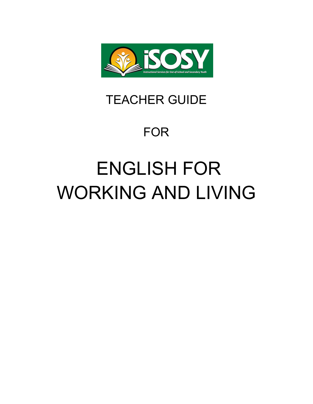

# TEACHER GUIDE

# FOR

# ENGLISH FOR WORKING AND LIVING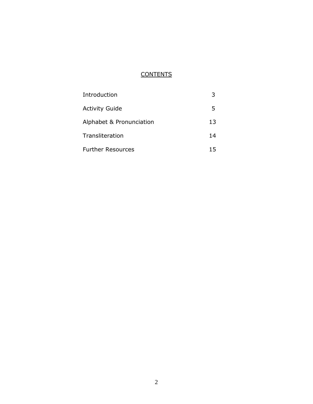# **CONTENTS**

| Introduction             |     |
|--------------------------|-----|
| <b>Activity Guide</b>    | 5.  |
| Alphabet & Pronunciation | 13  |
| Transliteration          | 14  |
| <b>Further Resources</b> | 15. |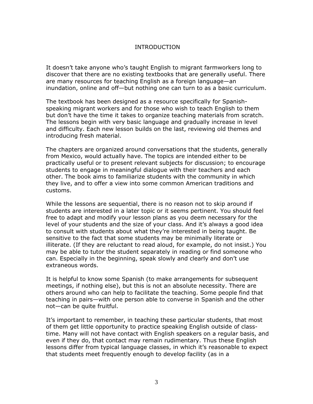#### INTRODUCTION

It doesn't take anyone who's taught English to migrant farmworkers long to discover that there are no existing textbooks that are generally useful. There are many resources for teaching English as a foreign language—an inundation, online and off—but nothing one can turn to as a basic curriculum.

The textbook has been designed as a resource specifically for Spanishspeaking migrant workers and for those who wish to teach English to them but don't have the time it takes to organize teaching materials from scratch. The lessons begin with very basic language and gradually increase in level and difficulty. Each new lesson builds on the last, reviewing old themes and introducing fresh material.

The chapters are organized around conversations that the students, generally from Mexico, would actually have. The topics are intended either to be practically useful or to present relevant subjects for discussion; to encourage students to engage in meaningful dialogue with their teachers and each other. The book aims to familiarize students with the community in which they live, and to offer a view into some common American traditions and customs.

While the lessons are sequential, there is no reason not to skip around if students are interested in a later topic or it seems pertinent. You should feel free to adapt and modify your lesson plans as you deem necessary for the level of your students and the size of your class. And it's always a good idea to consult with students about what they're interested in being taught. Be sensitive to the fact that some students may be minimally literate or illiterate. (If they are reluctant to read aloud, for example, do not insist.) You may be able to tutor the student separately in reading or find someone who can. Especially in the beginning, speak slowly and clearly and don't use extraneous words.

It is helpful to know some Spanish (to make arrangements for subsequent meetings, if nothing else), but this is not an absolute necessity. There are others around who can help to facilitate the teaching. Some people find that teaching in pairs—with one person able to converse in Spanish and the other not—can be quite fruitful.

It's important to remember, in teaching these particular students, that most of them get little opportunity to practice speaking English outside of classtime. Many will not have contact with English speakers on a regular basis, and even if they do, that contact may remain rudimentary. Thus these English lessons differ from typical language classes, in which it's reasonable to expect that students meet frequently enough to develop facility (as in a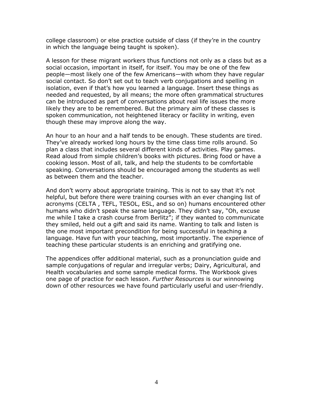college classroom) or else practice outside of class (if they're in the country in which the language being taught is spoken).

A lesson for these migrant workers thus functions not only as a class but as a social occasion, important in itself, for itself. You may be one of the few people—most likely one of the few Americans—with whom they have regular social contact. So don't set out to teach verb conjugations and spelling in isolation, even if that's how you learned a language. Insert these things as needed and requested, by all means; the more often grammatical structures can be introduced as part of conversations about real life issues the more likely they are to be remembered. But the primary aim of these classes is spoken communication, not heightened literacy or facility in writing, even though these may improve along the way.

An hour to an hour and a half tends to be enough. These students are tired. They've already worked long hours by the time class time rolls around. So plan a class that includes several different kinds of activities. Play games. Read aloud from simple children's books with pictures. Bring food or have a cooking lesson. Most of all, talk, and help the students to be comfortable speaking. Conversations should be encouraged among the students as well as between them and the teacher.

And don't worry about appropriate training. This is not to say that it's not helpful, but before there were training courses with an ever changing list of acronyms (CELTA , TEFL, TESOL, ESL, and so on) humans encountered other humans who didn't speak the same language. They didn't say, "Oh, excuse me while I take a crash course from Berlitz"; if they wanted to communicate they smiled, held out a gift and said its name. Wanting to talk and listen is the one most important precondition for being successful in teaching a language. Have fun with your teaching, most importantly. The experience of teaching these particular students is an enriching and gratifying one.

The appendices offer additional material, such as a pronunciation guide and sample conjugations of regular and irregular verbs; Dairy, Agricultural, and Health vocabularies and some sample medical forms. The Workbook gives one page of practice for each lesson. *Further Resources* is our winnowing down of other resources we have found particularly useful and user-friendly.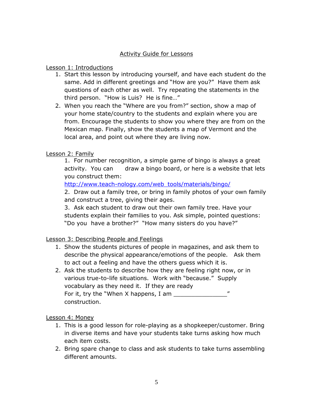# Activity Guide for Lessons

#### Lesson 1: Introductions

- 1. Start this lesson by introducing yourself, and have each student do the same. Add in different greetings and "How are you?" Have them ask questions of each other as well. Try repeating the statements in the third person. "How is Luis? He is fine..."
- 2. When you reach the "Where are you from?" section, show a map of your home state/country to the students and explain where you are from. Encourage the students to show you where they are from on the Mexican map. Finally, show the students a map of Vermont and the local area, and point out where they are living now.

# Lesson 2: Family

1. For number recognition, a simple game of bingo is always a great activity. You can draw a bingo board, or here is a website that lets you construct them:

[http://www.teach-nology.com/web\\_tools/materials/bingo/](http://www.teach-nology.com/web_tools/materials/bingo/)

2. Draw out a family tree, or bring in family photos of your own family and construct a tree, giving their ages.

3. Ask each student to draw out their own family tree. Have your students explain their families to you. Ask simple, pointed questions: "Do you have a brother?" "How many sisters do you have?"

Lesson 3: Describing People and Feelings

- 1. Show the students pictures of people in magazines, and ask them to describe the physical appearance/emotions of the people. Ask them to act out a feeling and have the others guess which it is.
- 2. Ask the students to describe how they are feeling right now, or in various true-to-life situations. Work with "because." Supply vocabulary as they need it. If they are ready For it, try the "When X happens, I am  $\frac{1}{\sqrt{1-\frac{1}{n}}}\left| \int_{-\infty}^{\infty}$ construction.

Lesson 4: Money

- 1. This is a good lesson for role-playing as a shopkeeper/customer. Bring in diverse items and have your students take turns asking how much each item costs.
- 2. Bring spare change to class and ask students to take turns assembling different amounts.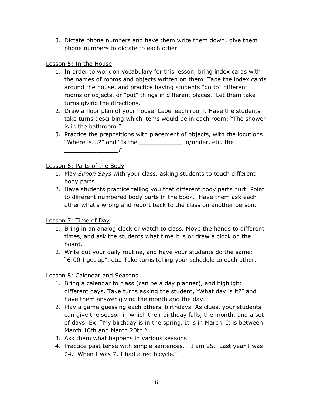3. Dictate phone numbers and have them write them down; give them phone numbers to dictate to each other.

# Lesson 5: In the House

- 1. In order to work on vocabulary for this lesson, bring index cards with the names of rooms and objects written on them. Tape the index cards around the house, and practice having students "go to" different rooms or objects, or "put" things in different places. Let them take turns giving the directions.
- 2. Draw a floor plan of your house. Label each room. Have the students take turns describing which items would be in each room: "The shower is in the bathroom."
- 3. Practice the prepositions with placement of objects, with the locutions "Where is....?" and "Is the \_\_\_\_\_\_\_\_\_\_\_\_\_\_\_\_\_ in/under, etc. the \_\_\_\_\_\_\_\_\_\_\_\_\_\_\_?‖

Lesson 6: Parts of the Body

- 1. Play *Simon Says* with your class, asking students to touch different body parts.
- 2. Have students practice telling you that different body parts hurt. Point to different numbered body parts in the book. Have them ask each other what's wrong and report back to the class on another person.

# Lesson 7: Time of Day

- 1. Bring in an analog clock or watch to class. Move the hands to different times, and ask the students what time it is or draw a clock on the board.
- 2. Write out your daily routine, and have your students do the same: "6:00 I get up", etc. Take turns telling your schedule to each other.

# Lesson 8: Calendar and Seasons

- 1. Bring a calendar to class (can be a day planner), and highlight different days. Take turns asking the student, "What day is it?" and have them answer giving the month and the day.
- 2. Play a game guessing each others' birthdays. As clues, your students can give the season in which their birthday falls, the month, and a set of days. Ex: "My birthday is in the spring. It is in March. It is between March 10th and March 20th."
- 3. Ask them what happens in various seasons.
- 4. Practice past tense with simple sentences. "I am 25. Last year I was 24. When I was 7, I had a red bicycle."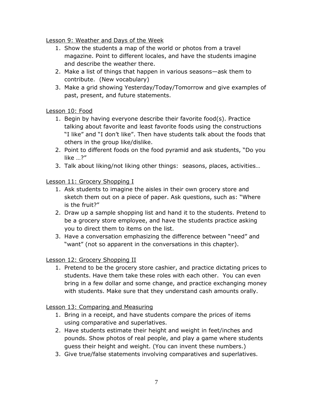Lesson 9: Weather and Days of the Week

- 1. Show the students a map of the world or photos from a travel magazine. Point to different locales, and have the students imagine and describe the weather there.
- 2. Make a list of things that happen in various seasons—ask them to contribute. (New vocabulary)
- 3. Make a grid showing Yesterday/Today/Tomorrow and give examples of past, present, and future statements.

# Lesson 10: Food

- 1. Begin by having everyone describe their favorite food(s). Practice talking about favorite and least favorite foods using the constructions "I like" and "I don't like". Then have students talk about the foods that others in the group like/dislike.
- 2. Point to different foods on the food pyramid and ask students, "Do you like  $\ldots$ ?"
- 3. Talk about liking/not liking other things: seasons, places, activities…

# Lesson 11: Grocery Shopping I

- 1. Ask students to imagine the aisles in their own grocery store and sketch them out on a piece of paper. Ask questions, such as: "Where is the fruit?"
- 2. Draw up a sample shopping list and hand it to the students. Pretend to be a grocery store employee, and have the students practice asking you to direct them to items on the list.
- 3. Have a conversation emphasizing the difference between "need" and "want" (not so apparent in the conversations in this chapter).

# Lesson 12: Grocery Shopping II

1. Pretend to be the grocery store cashier, and practice dictating prices to students. Have them take these roles with each other. You can even bring in a few dollar and some change, and practice exchanging money with students. Make sure that they understand cash amounts orally.

Lesson 13: Comparing and Measuring

- 1. Bring in a receipt, and have students compare the prices of items using comparative and superlatives.
- 2. Have students estimate their height and weight in feet/inches and pounds. Show photos of real people, and play a game where students guess their height and weight. (You can invent these numbers.)
- 3. Give true/false statements involving comparatives and superlatives.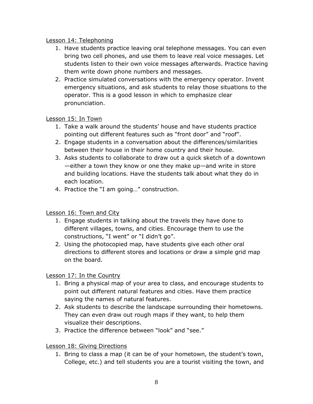# Lesson 14: Telephoning

- 1. Have students practice leaving oral telephone messages. You can even bring two cell phones, and use them to leave real voice messages. Let students listen to their own voice messages afterwards. Practice having them write down phone numbers and messages.
- 2. Practice simulated conversations with the emergency operator. Invent emergency situations, and ask students to relay those situations to the operator. This is a good lesson in which to emphasize clear pronunciation.

# Lesson 15: In Town

- 1. Take a walk around the students' house and have students practice pointing out different features such as "front door" and "roof".
- 2. Engage students in a conversation about the differences/similarities between their house in their home country and their house.
- 3. Asks students to collaborate to draw out a quick sketch of a downtown —either a town they know or one they make up—and write in store and building locations. Have the students talk about what they do in each location.
- 4. Practice the "I am going..." construction.

# Lesson 16: Town and City

- 1. Engage students in talking about the travels they have done to different villages, towns, and cities. Encourage them to use the constructions, "I went" or "I didn't go".
- 2. Using the photocopied map, have students give each other oral directions to different stores and locations or draw a simple grid map on the board.

# Lesson 17: In the Country

- 1. Bring a physical map of your area to class, and encourage students to point out different natural features and cities. Have them practice saying the names of natural features.
- 2. Ask students to describe the landscape surrounding their hometowns. They can even draw out rough maps if they want, to help them visualize their descriptions.
- 3. Practice the difference between "look" and "see."

# Lesson 18: Giving Directions

1. Bring to class a map (it can be of your hometown, the student's town, College, etc.) and tell students you are a tourist visiting the town, and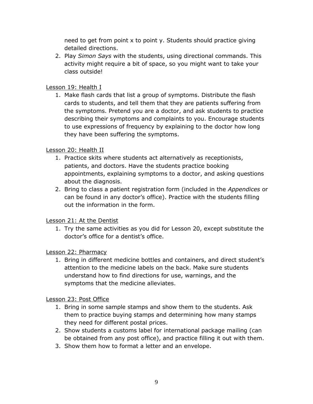need to get from point x to point y. Students should practice giving detailed directions.

2. Play *Simon Says* with the students, using directional commands. This activity might require a bit of space, so you might want to take your class outside!

# Lesson 19: Health I

1. Make flash cards that list a group of symptoms. Distribute the flash cards to students, and tell them that they are patients suffering from the symptoms. Pretend you are a doctor, and ask students to practice describing their symptoms and complaints to you. Encourage students to use expressions of frequency by explaining to the doctor how long they have been suffering the symptoms.

# Lesson 20: Health II

- 1. Practice skits where students act alternatively as receptionists, patients, and doctors. Have the students practice booking appointments, explaining symptoms to a doctor, and asking questions about the diagnosis.
- 2. Bring to class a patient registration form (included in the *Appendices* or can be found in any doctor's office). Practice with the students filling out the information in the form.

# Lesson 21: At the Dentist

1. Try the same activities as you did for Lesson 20, except substitute the doctor's office for a dentist's office.

# Lesson 22: Pharmacy

1. Bring in different medicine bottles and containers, and direct student's attention to the medicine labels on the back. Make sure students understand how to find directions for use, warnings, and the symptoms that the medicine alleviates.

# Lesson 23: Post Office

- 1. Bring in some sample stamps and show them to the students. Ask them to practice buying stamps and determining how many stamps they need for different postal prices.
- 2. Show students a customs label for international package mailing (can be obtained from any post office), and practice filling it out with them.
- 3. Show them how to format a letter and an envelope.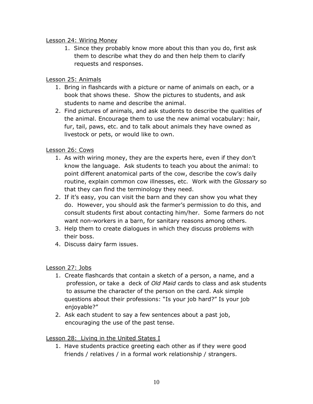# Lesson 24: Wiring Money

1. Since they probably know more about this than you do, first ask them to describe what they do and then help them to clarify requests and responses.

# Lesson 25: Animals

- 1. Bring in flashcards with a picture or name of animals on each, or a book that shows these. Show the pictures to students, and ask students to name and describe the animal.
- 2. Find pictures of animals, and ask students to describe the qualities of the animal. Encourage them to use the new animal vocabulary: hair, fur, tail, paws, etc. and to talk about animals they have owned as livestock or pets, or would like to own.

# Lesson 26: Cows

- 1. As with wiring money, they are the experts here, even if they don't know the language. Ask students to teach you about the animal: to point different anatomical parts of the cow, describe the cow's daily routine, explain common cow illnesses, etc. Work with the *Glossary* so that they can find the terminology they need.
- 2. If it's easy, you can visit the barn and they can show you what they do. However, you should ask the farmer's permission to do this, and consult students first about contacting him/her. Some farmers do not want non-workers in a barn, for sanitary reasons among others.
- 3. Help them to create dialogues in which they discuss problems with their boss.
- 4. Discuss dairy farm issues.

# Lesson 27: Jobs

- 1. Create flashcards that contain a sketch of a person, a name, and a profession, or take a deck of *Old Maid* cards to class and ask students to assume the character of the person on the card. Ask simple questions about their professions: "Is your job hard?" Is your job enjoyable?"
- 2. Ask each student to say a few sentences about a past job, encouraging the use of the past tense.

# Lesson 28: Living in the United States I

1. Have students practice greeting each other as if they were good friends / relatives / in a formal work relationship / strangers.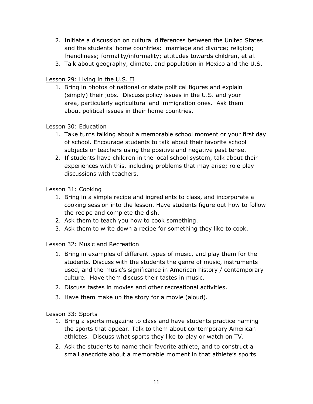- 2. Initiate a discussion on cultural differences between the United States and the students' home countries: marriage and divorce; religion; friendliness; formality/informality; attitudes towards children, et al.
- 3. Talk about geography, climate, and population in Mexico and the U.S.

# Lesson 29: Living in the U.S. II

1. Bring in photos of national or state political figures and explain (simply) their jobs. Discuss policy issues in the U.S. and your area, particularly agricultural and immigration ones. Ask them about political issues in their home countries.

#### Lesson 30: Education

- 1. Take turns talking about a memorable school moment or your first day of school. Encourage students to talk about their favorite school subjects or teachers using the positive and negative past tense.
- 2. If students have children in the local school system, talk about their experiences with this, including problems that may arise; role play discussions with teachers.

#### Lesson 31: Cooking

- 1. Bring in a simple recipe and ingredients to class, and incorporate a cooking session into the lesson. Have students figure out how to follow the recipe and complete the dish.
- 2. Ask them to teach you how to cook something.
- 3. Ask them to write down a recipe for something they like to cook.

#### Lesson 32: Music and Recreation

- 1. Bring in examples of different types of music, and play them for the students. Discuss with the students the genre of music, instruments used, and the music's significance in American history / contemporary culture. Have them discuss their tastes in music.
- 2. Discuss tastes in movies and other recreational activities.
- 3. Have them make up the story for a movie (aloud).

#### Lesson 33: Sports

- 1. Bring a sports magazine to class and have students practice naming the sports that appear. Talk to them about contemporary American athletes. Discuss what sports they like to play or watch on TV.
- 2. Ask the students to name their favorite athlete, and to construct a small anecdote about a memorable moment in that athlete's sports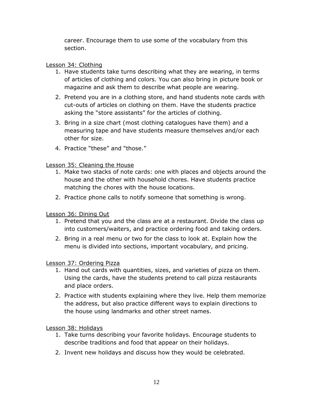career. Encourage them to use some of the vocabulary from this section.

# Lesson 34: Clothing

- 1. Have students take turns describing what they are wearing, in terms of articles of clothing and colors. You can also bring in picture book or magazine and ask them to describe what people are wearing.
- 2. Pretend you are in a clothing store, and hand students note cards with cut-outs of articles on clothing on them. Have the students practice asking the "store assistants" for the articles of clothing.
- 3. Bring in a size chart (most clothing catalogues have them) and a measuring tape and have students measure themselves and/or each other for size.
- 4. Practice "these" and "those."

Lesson 35: Cleaning the House

- 1. Make two stacks of note cards: one with places and objects around the house and the other with household chores. Have students practice matching the chores with the house locations.
- 2. Practice phone calls to notify someone that something is wrong.

Lesson 36: Dining Out

- 1. Pretend that you and the class are at a restaurant. Divide the class up into customers/waiters, and practice ordering food and taking orders.
- 2. Bring in a real menu or two for the class to look at. Explain how the menu is divided into sections, important vocabulary, and pricing.

# Lesson 37: Ordering Pizza

- 1. Hand out cards with quantities, sizes, and varieties of pizza on them. Using the cards, have the students pretend to call pizza restaurants and place orders.
- 2. Practice with students explaining where they live. Help them memorize the address, but also practice different ways to explain directions to the house using landmarks and other street names.

Lesson 38: Holidays

- 1. Take turns describing your favorite holidays. Encourage students to describe traditions and food that appear on their holidays.
- 2. Invent new holidays and discuss how they would be celebrated.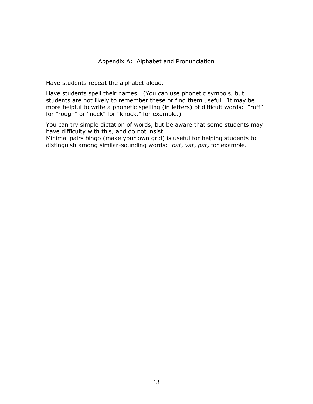#### Appendix A: Alphabet and Pronunciation

Have students repeat the alphabet aloud.

Have students spell their names. (You can use phonetic symbols, but students are not likely to remember these or find them useful. It may be more helpful to write a phonetic spelling (in letters) of difficult words: "ruff" for "rough" or "nock" for "knock," for example.)

You can try simple dictation of words, but be aware that some students may have difficulty with this, and do not insist.

Minimal pairs bingo (make your own grid) is useful for helping students to distinguish among similar-sounding words: *bat*, *vat*, *pat*, for example.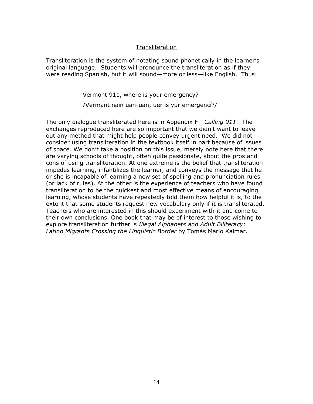#### **Transliteration**

Transliteration is the system of notating sound phonetically in the learner's original language. Students will pronounce the transliteration as if they were reading Spanish, but it will sound—more or less—like English. Thus:

Vermont 911, where is your emergency?

/Vermant nain uan-uan, uer is yur emergencí?/

The only dialogue transliterated here is in Appendix F: *Calling 911*. The exchanges reproduced here are so important that we didn't want to leave out any method that might help people convey urgent need. We did not consider using transliteration in the textbook itself in part because of issues of space. We don't take a position on this issue, merely note here that there are varying schools of thought, often quite passionate, about the pros and cons of using transliteration. At one extreme is the belief that transliteration impedes learning, infantilizes the learner, and conveys the message that he or she is incapable of learning a new set of spelling and pronunciation rules (or lack of rules). At the other is the experience of teachers who have found transliteration to be the quickest and most effective means of encouraging learning, whose students have repeatedly told them how helpful it is, to the extent that some students request new vocabulary only if it is transliterated. Teachers who are interested in this should experiment with it and come to their own conclusions. One book that may be of interest to those wishing to explore transliteration further is *Illegal Alphabets and Adult Biliteracy: Latino Migrants Crossing the Linguistic Border* by Tomás Mario Kalmar.